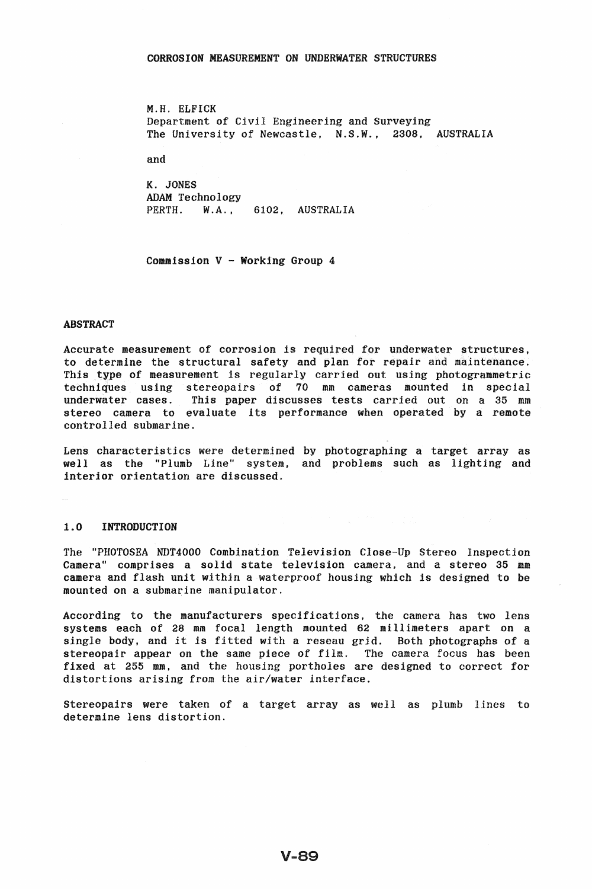### CORROSION MEASUREMENT ON UNDERWATER STRUCTURES

M.H. ELFICK Department of Civil Engineering and Surveying The University of Newcastle, N.S.W., 2308, AUSTRALIA

and

K. JONES ADAM Technology PERTH. W.A., 6102, AUSTRALIA

Commission V - Working Group 4

#### ABSTRACT

Accurate measurement of corrosion is required for underwater structures, to determine the structural safety and plan for repair and maintenance. This type of measurement is regularly carried out using photogrammetric techniques using stereopairs of 70 mm cameras mounted in special underwater cases. This paper discusses tests carried out on a 35 mm stereo camera to evaluate its performance when operated by a remote controlled submarine.

Lens characteristics were determined by photographing a target array as well as the "Plumb Line" system, and problems such as lighting and interior orientation are discussed.

#### 1.0 INTRODUCTION

The "PHOTOSEA NDT4000 Combination Television Close-Up Stereo Inspection Camera" comprises a solid state television camera, and a stereo 35 mm camera and flash unit within a waterproof housing which is designed to be mounted on a submarine manipulator.

According to the manufacturers specifications. the camera has two lens systems each of 28 mm focal length mounted 62 millimeters apart on a single body, and it is fitted with a reseau grid. Both photographs of a stereopair appear on the same piece of film. The camera focus has been fixed at 255 mm, and the housing portholes are designed to correct for distortions arising from the air/water interface.

Stereopairs were taken of a target array as well as plumb lines to determine lens distortion.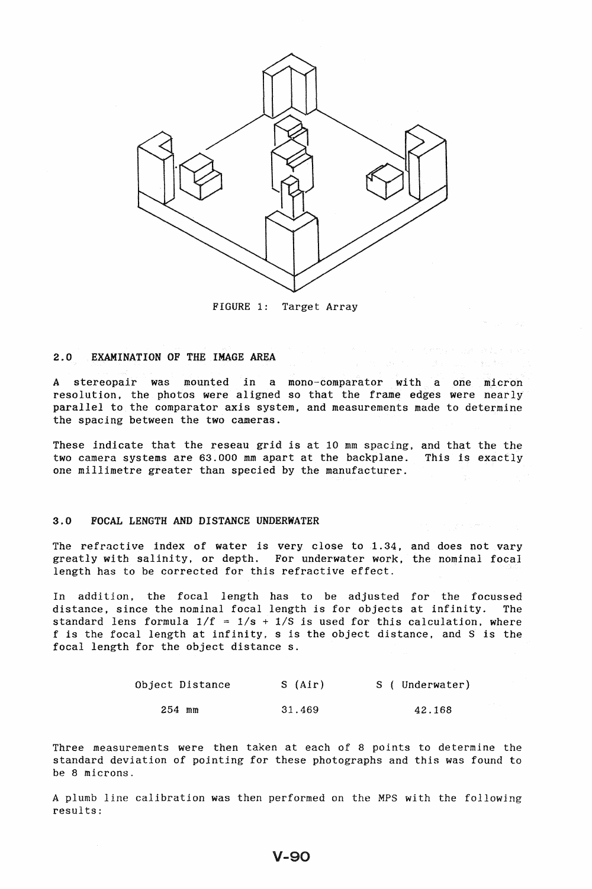

FIGURE 1: Target Array

### 2.0 EXAMINATION OF THE IMAGE AREA

A stereopair was mounted in a mono-comparator with a one micron resolution. the photos were aligned so that the frame edges were nearly parallel to the comparator axis system, and measurements made to determine the spacing between the two cameras.

These indicate that the reseau grid is at 10 mm spacing, and that the the two camera systems are 63.000 mm apart at the backplane. This is exactly one millimetre greater than specied by the manufacturer.

### 3.0 FOCAL LENGTH AND DISTANCE UNDERWATER

The refractive index of water is very close to 1.34, and does not vary greatly with salinity, or depth. For underwater work, the nominal focal length has to be corrected for this refractive effect.

In addition. the focal length has to be adjusted for the focussed distance, since the nominal focal length is for objects at infinity. The standard lens formula  $1/f = 1/s + 1/S$  is used for this calculation, where f is the focal length at infinity. s is the object distance, and S is the focal length for the object distance s.

| Object Distance | S (Air) | S ( Underwater) |
|-----------------|---------|-----------------|
| $254$ mm        | 31.469  | 42.168          |

Three measurements were then taken at each of 8 points to determine the standard deviation of pointing for these photographs and this was found to be 8 microns.

A plumb line calibration was then performed on the MPS with the following results;

## V-90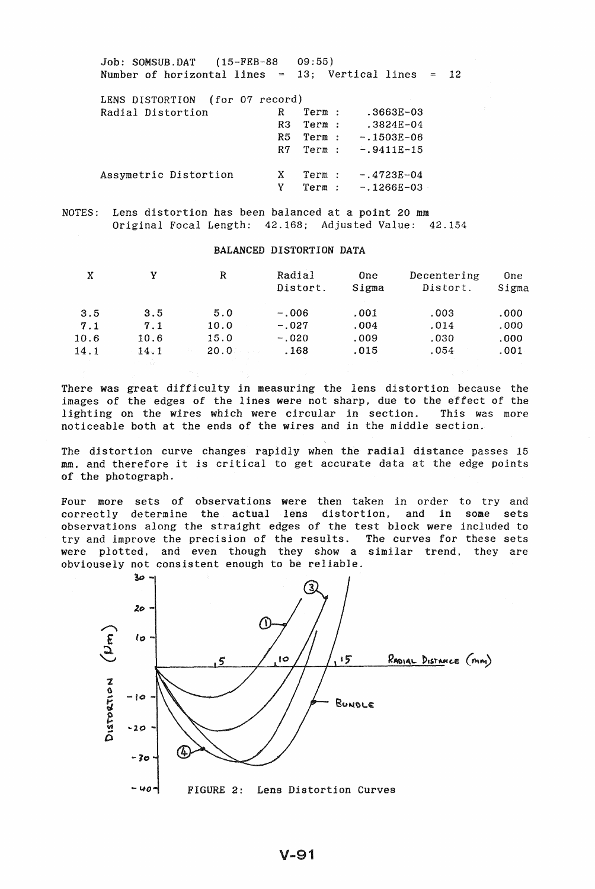Job: SOMSUB.DAT (15-FEB-88 Number of horizontal lines 13; Vertical *lines*  09:55) LENS DISTORTION (for 07 record) Radial Distortion R Term : .3663E-03 R3 Term : .3824E-04 R5 Term : -.1503E-06  $R7$  Term :  $-.9411E-15$ Assymetric Distortion X Term : -.4723E-04 12

NOTES: Lens distortion has been balanced at a point 20 mm

## Original Focal Length: 42.168; Adjusted Value: 42.154

#### BALANCED DISTORTION DATA

 $Y$  Term :  $-.1266E-03$ 

| X    |      | R              | Radial<br>Distort. | 0 <sub>ne</sub><br>Sigma | Decentering<br>Distort. | 0ne<br>Sigma |
|------|------|----------------|--------------------|--------------------------|-------------------------|--------------|
| 3.5  | 3.5  | 5.0            | $-.006$            | .001                     | .003                    | .000         |
| 7.1  | 7.1  | 10.0           | $-.027$            | .004                     | .014                    | .000         |
| 10.6 | 10.6 | 15.0           | $-.020$            | .009                     | .030                    | .000         |
| 14.1 | 14.1 | $20.0^{\circ}$ | . 168              | .015                     | .054                    | .001         |

There was great difficulty in measuring the lens distortion because the images of the edges of the lines were not sharp. due to the effect of the lighting on the wires which were circular in section. This was more noticeable both at the ends of the wires and in the middle section.

The distortion curve changes rapidly when the radial distance passes 15 mm, and therefore it is critical to get accurate data at the edge points of the photograph.

Four more sets of observations were then taken in order to try and correctly determine the actual lens distortion. and in some sets observations along the straight edges of the test block were included to try and improve the precision of the results. The curves for these sets were plotted. and even though they show a similar trend. they are obviousely not consistent enough to be reliable.

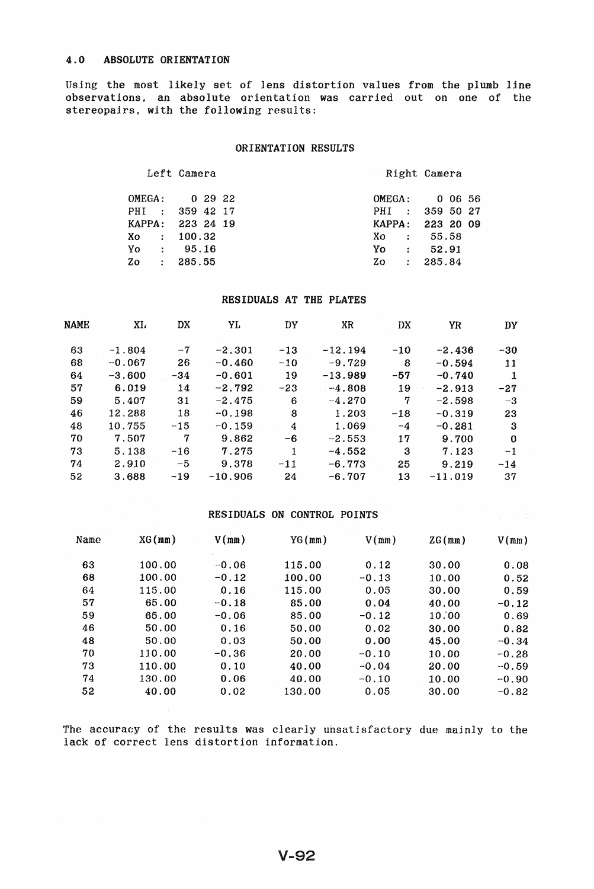Using the most likely set of lens distortion values from the plumb line observations. an absolute orientation was carried out on one of the stereopairs. with the following results:

## ORIENTATION RESULTS

Left Camera **Right Camera** 

| OMEGA: 0 29 22   |  |  | OMEGA: 0 06 56     |  |  |
|------------------|--|--|--------------------|--|--|
| PHI : 359 42 17  |  |  | PHI : 359 50 27    |  |  |
| KAPPA: 223 24 19 |  |  | KAPPA: 223 20 09   |  |  |
| $X_0 : 100.32$   |  |  | Xo : 55.58         |  |  |
| $Y_0 : 95.16$    |  |  | $\gamma_0$ : 52.91 |  |  |
| $Z_0$ : 285.55   |  |  | $Z_0$ : 285.84     |  |  |

# RESIDUALS AT THE PLATES

| NAME | XL.      | DX    | YL        | DY     | XR        | DX    | YR        | DY       |
|------|----------|-------|-----------|--------|-----------|-------|-----------|----------|
| 63   | $-1.804$ | $-7$  | $-2.301$  | $-13$  | $-12.194$ | $-10$ | $-2.436$  | -30      |
| 68   | $-0.067$ | 26    | $-0.460$  | $-10$  | $-9.729$  | 8     | $-0.594$  | 11       |
| 64   | $-3.600$ | $-34$ | $-0.601$  | 19     | $-13.989$ | $-57$ | $-0.740$  | 1        |
| 57   | 6.019    | 14    | $-2.792$  | $-23-$ | $-4.808$  | 19    | $-2.913$  | $-27$    |
| 59   | 5.407    | 31    | $-2.475$  | 6      | $-4.270$  | 7     | $-2.598$  | -3       |
| 46   | 12.288   | 18    | $-0.198$  | 8      | 1.203     | $-18$ | $-0.319$  | 23       |
| 48   | 10.755   | $-15$ | $-0.159$  | 4      | 1.069     | $-4$  | $-0.281$  | 3        |
| 70   | 7.507    | 7     | 9.862     | -6     | $-2.553$  | 17    | 9.700     | $\Omega$ |
| 73   | 5.138    | $-16$ | 7.275     | 1      | $-4.552$  | 3     | 7.123     | $-1$     |
| 74   | 2.910    | $-5$  | 9.378     | $-11$  | $-6.773$  | 25    | 9.219     | $-14$    |
| 52   | 3.688    | $-19$ | $-10.906$ | 24     | $-6.707$  | 13    | $-11.019$ | 37       |

## RESIDUALS ON CONTROL POINTS

| Name | $XG$ (mm) | V(mm)   | YG(mm) | V(mm)   | ZG(mm) | V(mm)   |
|------|-----------|---------|--------|---------|--------|---------|
| 63   | 100.00    | $-0.06$ | 115.00 | 0.12    | 30.00  | 0.08    |
| 68   | 100.00    | $-0.12$ | 100.00 | $-0.13$ | 10.00  | 0.52    |
| 64   | 115.00    | 0.16    | 115.00 | 0.05    | 30.00  | 0.59    |
| 57   | 65.00     | $-0.18$ | 85.00  | 0.04    | 40.00  | $-0.12$ |
| 59   | 65.00     | $-0.06$ | 85.00  | $-0.12$ | 10.00  | 0.69    |
| 46   | 50.00     | 0.16    | 50.00  | 0.02    | 30.00  | 0.82    |
| 48   | 50.00     | 0.03    | 50.00  | 0.00    | 45.00  | $-0.34$ |
| 70   | 110.00    | $-0.36$ | 20.00  | $-0.10$ | 10.00  | $-0.28$ |
| 73   | 110.00    | 0.10    | 40.00  | $-0.04$ | 20.00  | $-0.59$ |
| 74   | 130.00    | 0.06    | 40.00  | $-0.10$ | 10.00  | $-0.90$ |
| 52   | 40.00     | 0.02    | 130.00 | 0.05    | 30.00  | $-0.82$ |

The accuracy of the results was clearly unsatisfactory due mainly to the lack of correct lens distortion information.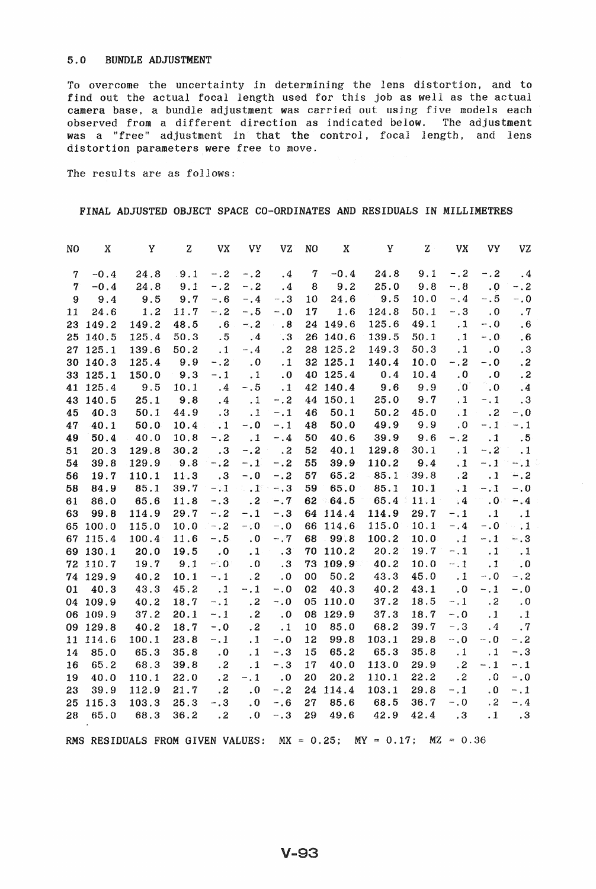## 5.0 BUNDLE ADJUSTMENT

To overcome the uncertainty *in* determining the lens distortion, and to find out the actual focal length used for this job as well as the actual camera base, a bundle adjustment was carried out usjng five models each observed from a different direction as indicated below. The adjustment was a "free" adjustment in that the control, focal length, and lens distortion parameters were free to move.

The results are as follows:

## FINAL ADJUSTED OBJECT SPACE CO-ORDINATES AND RESIDUALS IN MILLIMETRES

| NO             | X        | Y                                | $\mathbf{Z}% ^{T}=\mathbf{Z}^{T}\times\mathbf{Z}^{T}$ | VX                         | <b>VY</b>                         | VZ           | NO            | X        | Y             | Z    | <b>VX</b>                | VY.                | VZ              |
|----------------|----------|----------------------------------|-------------------------------------------------------|----------------------------|-----------------------------------|--------------|---------------|----------|---------------|------|--------------------------|--------------------|-----------------|
| $\mathbf 7$    | $-0.4$   | 24.8                             | 9.1                                                   | $-.2$                      | $- 0.2$                           | $\cdot$ 4    | $\tau$        | $-0.4$   | 24.8          | 9.1  | $-$ .2                   | $-.2$              | .4              |
| $\overline{7}$ | $-0.4$   | 24.8                             | 9.1                                                   | $-.2$                      | $-.2$                             | .4           | 8             | 9.2      | 25.0          | 9.8  | $-0.8$                   | $\cdot$ .0         | $-$ , 2         |
| 9              | 9.4      | 9.5                              | 9.7                                                   | $-0.6$                     | $-$ .4                            | $-.3$        | 10            | 24.6     | 9.5           | 10.0 | $-.4$                    | $-.5$              | $-0.0$          |
| 11             | 24.6     | 1.2                              | 11.7                                                  | $-.2$                      | $- 0.5$                           | $-0.0$       | 17            | 1.6      | 124.8         | 50.1 | $-.3$                    | $\ldots$           | .7              |
|                | 23 149.2 | 149.2                            | 48.5                                                  | .6                         | $-.2$                             | .8           |               | 24 149.6 | 125.6         | 49.1 | $\cdot$ 1                | $-0.0$             | .6              |
|                | 25 140.5 | 125.4                            | 50.3                                                  | .5                         | $\cdot$ 4                         | $\cdot$ 3    |               | 26 140.6 | 139.5         | 50.1 | $\cdot$ 1                | $-0.0$             | .6              |
|                | 27 125.1 | 139.6                            | 50.2                                                  | $\cdot$ 1                  | $- 0.4$                           | $\cdot$ 2    |               | 28 125.2 | 149.3         | 50.3 | $\cdot$ 1                | $\cdot$ 0          | $\cdot\,3$      |
|                | 30 140.3 | 125.4                            | 9.9                                                   | $- 0.2$                    | $\cdot$ 0                         | .1           |               | 32 125.1 | 140.4         | 10.0 | $-.2$                    | $-0.0$             | $\cdot$ 2       |
|                | 33 125.1 | 150.0                            | 9.3                                                   | $-1$                       | $\cdot$ 1                         | .0           |               | 40 125.4 | 0.4           | 10.4 | $\cdot$ 0                | $\cdot$ 0          | $\cdot$ 2       |
|                | 41 125.4 | 9.5                              | 10.1                                                  | $\cdot$ 4                  | $-.5$                             | $\cdot$ 1    |               | 42 140.4 | 9.6           | 9.9  | $\cdot 0$                | $\cdot 0$          | $\cdot$ 4       |
| 43             | 140.5    | 25.1                             | 9.8                                                   | $\cdot$ 4                  | $\ldots$                          | $-.2$        |               | 44 150.1 | 25.0          | 9.7  | $\cdot$ 1                | $-1$ .             | $\cdot$ 3       |
| 45             | 40.3     | 50.1                             | 44.9                                                  | .3                         | $\cdot$ 1                         | $-1$         | 46            | 50.1     | 50.2          | 45.0 | $\cdot$ 1                | $\ldots$ 2         | $-0.0$          |
| 47             | 40.1     | 50.0                             | 10.4                                                  | $\cdot$ 1                  | $-.0$                             | $-1$         | 48            | 50.0     | 49.9          | 9.9  | $\cdot$ 0                | $-.1.$             | $-.1$           |
| 49             | 50.4     | 40.0                             | 10.8                                                  | $-.2$                      | $\overline{\phantom{a}}$ .1       | $-4$         | 50            | 40.6     | 39.9          | 9.6  | $-.2$                    | $\cdot$ 1          | .5 <sub>5</sub> |
| 51             | 20.3     | 129.8                            | 30.2                                                  | $\cdot$ 3                  | $-.2$                             | $\cdots$ . 2 | 52            | 40.1     | 129.8         | 30.1 | $\cdot$ 1                | $-.2$              | $\cdot$ 1       |
| 54             | 39.8     | 129.9                            | 9.8                                                   | $-.2$                      | $-1$                              | $-.2$        | 55            | 39.9     | 110.2         | 9.4  | $\cdot$ 1                | $-1$ <sup>-1</sup> | $-.1$           |
| 56             | 19.7     | 110.1                            | 11.3                                                  | .3                         | $-0.0$                            | $-.2$        | 57            | 65.2     | $-85.1$       | 39.8 | $\overline{\mathbf{.2}}$ | $\cdot$ 1          | $-.2$           |
| 58             | 84.9     | 85.1                             | 39.7                                                  | $-.1$                      | $\mathbb{Z}$ , $\mathbf{1}^\circ$ | $-.3$        | 59            | 65.0     | 85.1          | 10.1 | $\ddot{\phantom{0}}$ .   | $-.1$              | $-1.0$          |
| 61             | 86.0     | 65.6                             | 11.8                                                  | $-.3$                      | $\ldots$ 2                        | $-0.7$       | $62 -$        | 64.5     | 65.4          | 11.1 | $\ddot{.}4$              | 10 <sup>o</sup>    | $-4$            |
| 63             | 99.8     | 114.9                            | 29.7                                                  | $-.2$                      | $-1$                              | $-.3$        |               | 64 114.4 | 114.9         | 29.7 | $-.1$                    | $\cdot$ 1          | $\cdot$ 1       |
|                | 65 100.0 | 115.0                            | 10.0                                                  | $- 0.2$                    | $-.0$                             | $-0.0$       |               | 66 114.6 | 115.0         | 10.1 | $-.4$                    | $-0.0$             | $\sim$ 11       |
| 67             | 115.4    | 100.4                            | 11.6                                                  | $-.5$                      | $\boldsymbol{\cdot}$ 0            | $-17$        |               | 68 99.8  | 100.2         | 10.0 | $\cdot$ 1                | $-.1$              | $-.3$           |
|                | 69 130.1 | 20.0                             | 19.5                                                  | $\cdot$ 0                  | $\cdot$ 1                         | .3           |               | 70 110.2 | 20.2          | 19.7 | $-.1$                    | .1 <sub>2</sub>    | $\cdot$ 1       |
|                | 72 110.7 | 19.7                             | 9.1                                                   | $-0.01$                    | . $\boldsymbol{0}$                | $\cdot$ 3    |               | 73 109.9 | 40.2          | 10.0 | $-11$                    | $\cdot$ 1          | $\cdot$ 0       |
|                | 74 129.9 | 40.2                             | 10.1                                                  | $-.1$                      | .2                                | $\cdot$ 0    | 00            | 50.2     | 43.3          | 45.0 | $\cdot$ 1                | $-0.0$             | $-.2$           |
| 01             | 40.3     | 43.3                             | 45.2                                                  | $\overline{\phantom{0}}$ . | $-.1$                             | $-.0$        | 02            | 40.3     | 40.2          | 43.1 | $\overline{\mathbf{0}}$  | $-.1$              | $-0.0$          |
|                | 04 109.9 | 40.2                             | 18.7                                                  | $-1$                       | $\cdot$ 2                         | $-0.0$       |               | 05 110.0 | 37.2          | 18.5 | $-.1$                    | .2                 | $\cdot$ 0       |
|                | 06 109.9 | 37.2                             | 20.1                                                  | $-1$                       | .2                                | $\cdot$ .0   |               | 08 129.9 | 37.3          | 18.7 | $-.0$                    | $\cdot$ 1          | $\cdot$ .1      |
|                | 09 129.8 | 40.2                             | 18.7                                                  | $-0.0$                     | .2                                | $\cdot$ 1    | 10            | 85.0     | 68.2          | 39.7 | $- 0.3$                  | $\cdot$ 4          | .7              |
|                | 11 114.6 | 100.1                            | 23.8                                                  | $-1$ .                     | $\cdot$ 1                         | $-.0$        | 12            | 99.8     | 103.1         | 29.8 | $-0.0$                   | $-0.$              | $-.2$           |
| 14             | 85.0     | 65.3                             | 35.8                                                  | $\cdot$ 0                  | $\cdot$ 1                         | $-.3$        | 15            | 65.2     | 65.3          | 35.8 | $\cdot$ 1                | $\cdot$ 1          | $-0.3$          |
| 16             | 65.2     | 68.3                             | 39.8                                                  | $\cdot$ 2                  | $\cdot$ 1                         | $-.3$        | 17            | 40.0     | 113.0         | 29.9 | $\cdot$ 2                | $-1$               | $-.1$           |
| 19             | 40.0     | 110.1                            | 22.0                                                  | $\cdot$ 2                  | $-.1$                             | $\cdot$ .0   | 20            | 20.2     | 110.1         | 22.2 | $\cdot$ 2                | $\cdot$ 0          | $-$ .0          |
| 23             | 39.9     | 112.9                            | 21.7                                                  | $\cdot$ 2                  | $\cdot$ 0                         | $-.2$        |               | 24 114.4 | 103.1         | 29.8 | $-.1$                    | $\cdot$ 0          | $- 0.1$         |
| 25             | 115.3    | 103.3                            | 25.3                                                  | $-.3$                      | $\cdot$ 0                         | $-0.6$       | 27            | 85.6     | 68.5          | 36.7 | $-0.0$                   | $\cdot$ 2          | $-.4$           |
| 28             | 65.0     | 68.3                             | 36.2                                                  | .2                         | $\cdot$ 0                         | $-.3$        | 29            | 49.6     | 42.9          | 42.4 | .3                       | $\cdot$ 1          | $\cdot$ .3      |
|                |          | RMS RESIDUALS FROM GIVEN VALUES: |                                                       |                            |                                   |              | $MX = 0.25$ ; |          | $MY = 0.17$ ; |      | $MZ = 0.36$              |                    |                 |